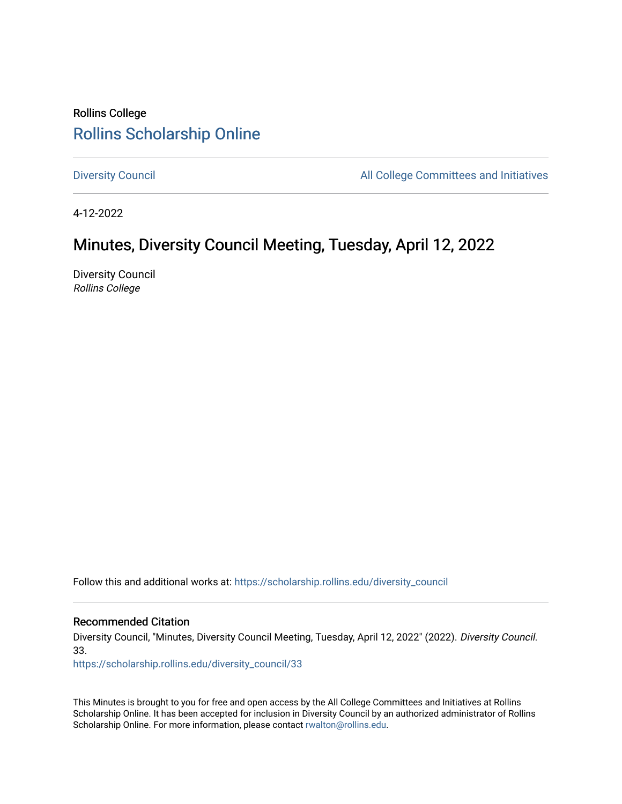## Rollins College [Rollins Scholarship Online](https://scholarship.rollins.edu/)

[Diversity Council](https://scholarship.rollins.edu/diversity_council) **All College Committees and Initiatives** 

4-12-2022

## Minutes, Diversity Council Meeting, Tuesday, April 12, 2022

Diversity Council Rollins College

Follow this and additional works at: [https://scholarship.rollins.edu/diversity\\_council](https://scholarship.rollins.edu/diversity_council?utm_source=scholarship.rollins.edu%2Fdiversity_council%2F33&utm_medium=PDF&utm_campaign=PDFCoverPages)

## Recommended Citation

Diversity Council, "Minutes, Diversity Council Meeting, Tuesday, April 12, 2022" (2022). Diversity Council. 33.

[https://scholarship.rollins.edu/diversity\\_council/33](https://scholarship.rollins.edu/diversity_council/33?utm_source=scholarship.rollins.edu%2Fdiversity_council%2F33&utm_medium=PDF&utm_campaign=PDFCoverPages) 

This Minutes is brought to you for free and open access by the All College Committees and Initiatives at Rollins Scholarship Online. It has been accepted for inclusion in Diversity Council by an authorized administrator of Rollins Scholarship Online. For more information, please contact [rwalton@rollins.edu](mailto:rwalton@rollins.edu).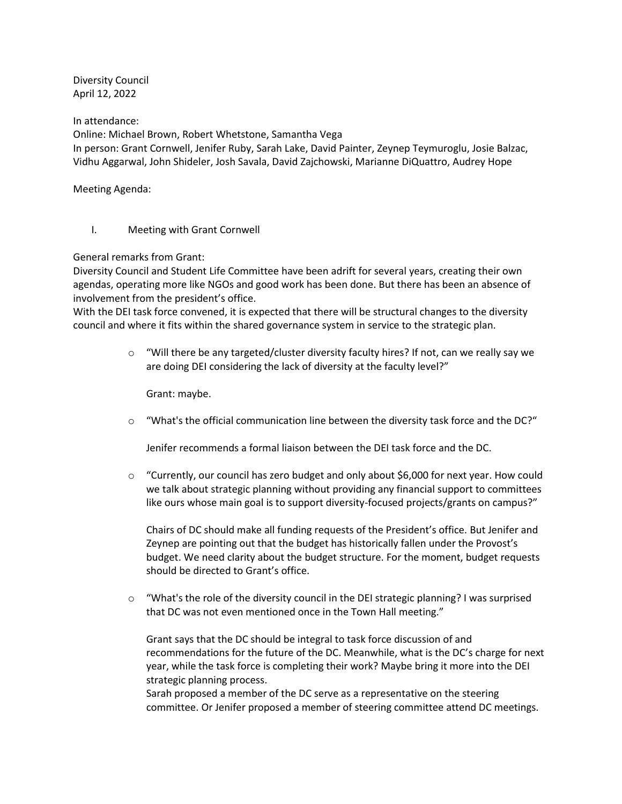Diversity Council April 12, 2022

In attendance:

Online: Michael Brown, Robert Whetstone, Samantha Vega

In person: Grant Cornwell, Jenifer Ruby, Sarah Lake, David Painter, Zeynep Teymuroglu, Josie Balzac, Vidhu Aggarwal, John Shideler, Josh Savala, David Zajchowski, Marianne DiQuattro, Audrey Hope

Meeting Agenda:

I. Meeting with Grant Cornwell

General remarks from Grant:

Diversity Council and Student Life Committee have been adrift for several years, creating their own agendas, operating more like NGOs and good work has been done. But there has been an absence of involvement from the president's office.

With the DEI task force convened, it is expected that there will be structural changes to the diversity council and where it fits within the shared governance system in service to the strategic plan.

> $\circ$  "Will there be any targeted/cluster diversity faculty hires? If not, can we really say we are doing DEI considering the lack of diversity at the faculty level?"

Grant: maybe.

 $\circ$  "What's the official communication line between the diversity task force and the DC?"

Jenifer recommends a formal liaison between the DEI task force and the DC.

 $\circ$  "Currently, our council has zero budget and only about \$6,000 for next year. How could we talk about strategic planning without providing any financial support to committees like ours whose main goal is to support diversity-focused projects/grants on campus?"

Chairs of DC should make all funding requests of the President's office. But Jenifer and Zeynep are pointing out that the budget has historically fallen under the Provost's budget. We need clarity about the budget structure. For the moment, budget requests should be directed to Grant's office.

 $\circ$  "What's the role of the diversity council in the DEI strategic planning? I was surprised that DC was not even mentioned once in the Town Hall meeting."

Grant says that the DC should be integral to task force discussion of and recommendations for the future of the DC. Meanwhile, what is the DC's charge for next year, while the task force is completing their work? Maybe bring it more into the DEI strategic planning process.

Sarah proposed a member of the DC serve as a representative on the steering committee. Or Jenifer proposed a member of steering committee attend DC meetings.